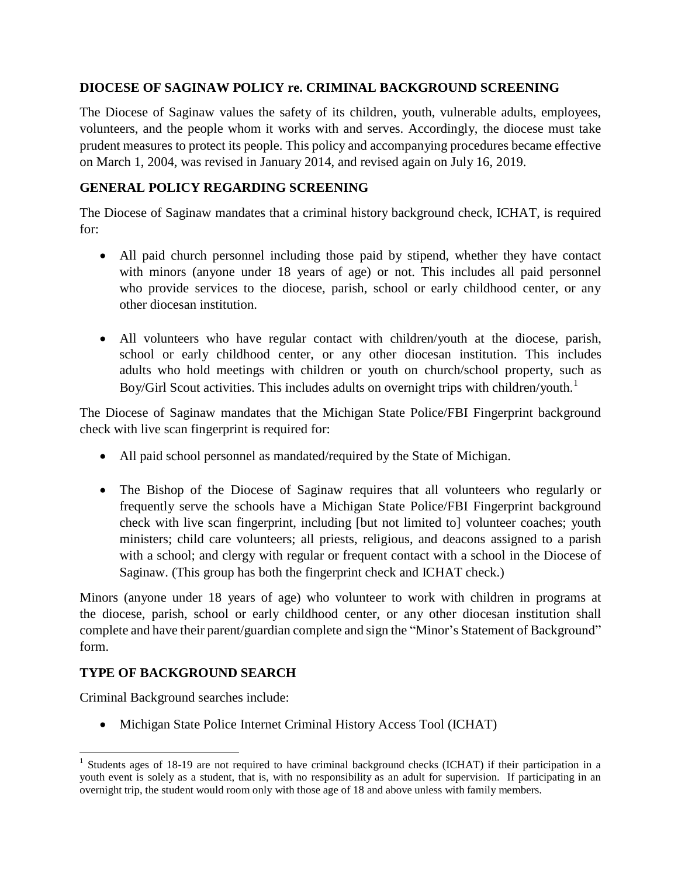#### **DIOCESE OF SAGINAW POLICY re. CRIMINAL BACKGROUND SCREENING**

The Diocese of Saginaw values the safety of its children, youth, vulnerable adults, employees, volunteers, and the people whom it works with and serves. Accordingly, the diocese must take prudent measures to protect its people. This policy and accompanying procedures became effective on March 1, 2004, was revised in January 2014, and revised again on July 16, 2019.

#### **GENERAL POLICY REGARDING SCREENING**

The Diocese of Saginaw mandates that a criminal history background check, ICHAT, is required for:

- All paid church personnel including those paid by stipend, whether they have contact with minors (anyone under 18 years of age) or not. This includes all paid personnel who provide services to the diocese, parish, school or early childhood center, or any other diocesan institution.
- All volunteers who have regular contact with children/youth at the diocese, parish, school or early childhood center, or any other diocesan institution. This includes adults who hold meetings with children or youth on church/school property, such as Boy/Girl Scout activities. This includes adults on overnight trips with children/youth.<sup>1</sup>

The Diocese of Saginaw mandates that the Michigan State Police/FBI Fingerprint background check with live scan fingerprint is required for:

- All paid school personnel as mandated/required by the State of Michigan.
- The Bishop of the Diocese of Saginaw requires that all volunteers who regularly or frequently serve the schools have a Michigan State Police/FBI Fingerprint background check with live scan fingerprint, including [but not limited to] volunteer coaches; youth ministers; child care volunteers; all priests, religious, and deacons assigned to a parish with a school; and clergy with regular or frequent contact with a school in the Diocese of Saginaw. (This group has both the fingerprint check and ICHAT check.)

Minors (anyone under 18 years of age) who volunteer to work with children in programs at the diocese, parish, school or early childhood center, or any other diocesan institution shall complete and have their parent/guardian complete and sign the "Minor's Statement of Background" form.

# **TYPE OF BACKGROUND SEARCH**

Criminal Background searches include:

• Michigan State Police Internet Criminal History Access Tool (ICHAT)

<sup>1</sup>Students ages of 18-19 are not required to have criminal background checks (ICHAT) if their participation in a youth event is solely as a student, that is, with no responsibility as an adult for supervision. If participating in an overnight trip, the student would room only with those age of 18 and above unless with family members.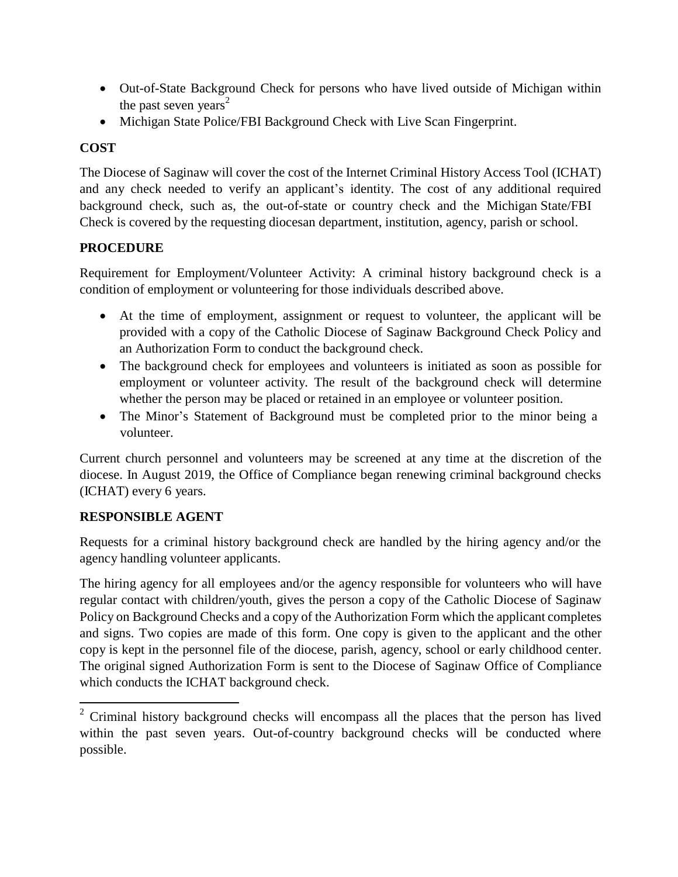- Out-of-State Background Check for persons who have lived outside of Michigan within the past seven years<sup>2</sup>
- Michigan State Police/FBI Background Check with Live Scan Fingerprint.

# **COST**

The Diocese of Saginaw will cover the cost of the Internet Criminal History Access Tool (ICHAT) and any check needed to verify an applicant's identity. The cost of any additional required background check, such as, the out-of-state or country check and the Michigan State/FBI Check is covered by the requesting diocesan department, institution, agency, parish or school.

## **PROCEDURE**

Requirement for Employment/Volunteer Activity: A criminal history background check is a condition of employment or volunteering for those individuals described above.

- At the time of employment, assignment or request to volunteer, the applicant will be provided with a copy of the Catholic Diocese of Saginaw Background Check Policy and an Authorization Form to conduct the background check.
- The background check for employees and volunteers is initiated as soon as possible for employment or volunteer activity. The result of the background check will determine whether the person may be placed or retained in an employee or volunteer position.
- The Minor's Statement of Background must be completed prior to the minor being a volunteer.

Current church personnel and volunteers may be screened at any time at the discretion of the diocese. In August 2019, the Office of Compliance began renewing criminal background checks (ICHAT) every 6 years.

## **RESPONSIBLE AGENT**

Requests for a criminal history background check are handled by the hiring agency and/or the agency handling volunteer applicants.

The hiring agency for all employees and/or the agency responsible for volunteers who will have regular contact with children/youth, gives the person a copy of the Catholic Diocese of Saginaw Policy on Background Checks and a copy of the Authorization Form which the applicant completes and signs. Two copies are made of this form. One copy is given to the applicant and the other copy is kept in the personnel file of the diocese, parish, agency, school or early childhood center. The original signed Authorization Form is sent to the Diocese of Saginaw Office of Compliance which conducts the ICHAT background check.

<sup>&</sup>lt;sup>2</sup> Criminal history background checks will encompass all the places that the person has lived within the past seven years. Out-of-country background checks will be conducted where possible.